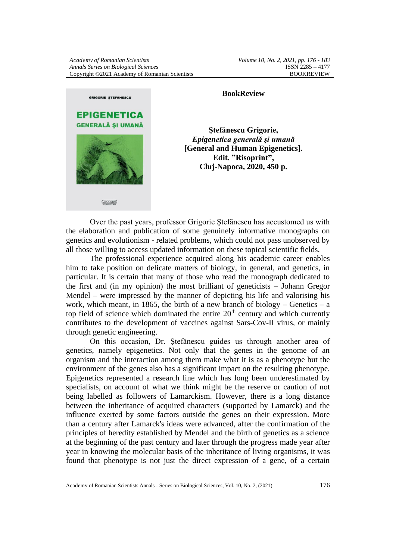

## **BookReview**

**Ştefănescu Grigorie,**  *Epigenetica generală şi umană* **[General and Human Epigenetics]. Edit. "Risoprint", Cluj-Napoca, 2020, 450 p.**

Over the past years, professor Grigorie Ştefănescu has accustomed us with the elaboration and publication of some genuinely informative monographs on genetics and evolutionism - related problems, which could not pass unobserved by all those willing to access updated information on these topical scientific fields.

The professional experience acquired along his academic career enables him to take position on delicate matters of biology, in general, and genetics, in particular. It is certain that many of those who read the monograph dedicated to the first and (in my opinion) the most brilliant of geneticists – Johann Gregor Mendel – were impressed by the manner of depicting his life and valorising his work, which meant, in 1865, the birth of a new branch of biology – Genetics – a top field of science which dominated the entire  $20<sup>th</sup>$  century and which currently contributes to the development of vaccines against Sars-Cov-II virus, or mainly through genetic engineering.

On this occasion, Dr. Ştefănescu guides us through another area of genetics, namely epigenetics. Not only that the genes in the genome of an organism and the interaction among them make what it is as a phenotype but the environment of the genes also has a significant impact on the resulting phenotype. Epigenetics represented a research line which has long been underestimated by specialists, on account of what we think might be the reserve or caution of not being labelled as followers of Lamarckism. However, there is a long distance between the inheritance of acquired characters (supported by Lamarck) and the influence exerted by some factors outside the genes on their expression. More than a century after Lamarck's ideas were advanced, after the confirmation of the principles of heredity established by Mendel and the birth of genetics as a science at the beginning of the past century and later through the progress made year after year in knowing the molecular basis of the inheritance of living organisms, it was found that phenotype is not just the direct expression of a gene, of a certain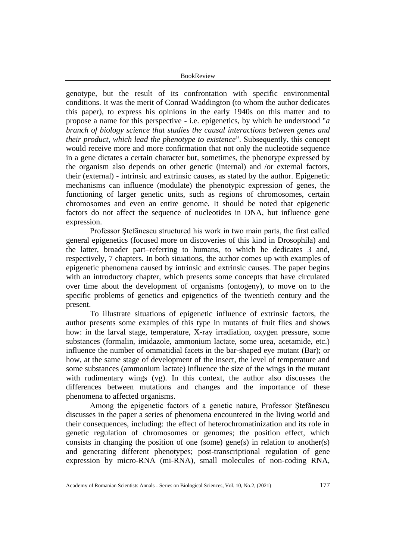### BookReview

genotype, but the result of its confrontation with specific environmental conditions. It was the merit of Conrad Waddington (to whom the author dedicates this paper), to express his opinions in the early 1940s on this matter and to propose a name for this perspective - i.e. epigenetics, by which he understood "*a branch of biology science that studies the causal interactions between genes and their product, which lead the phenotype to existence*". Subsequently, this concept would receive more and more confirmation that not only the nucleotide sequence in a gene dictates a certain character but, sometimes, the phenotype expressed by the organism also depends on other genetic (internal) and /or external factors, their (external) - intrinsic and extrinsic causes, as stated by the author. Epigenetic mechanisms can influence (modulate) the phenotypic expression of genes, the functioning of larger genetic units, such as regions of chromosomes, certain chromosomes and even an entire genome. It should be noted that epigenetic factors do not affect the sequence of nucleotides in DNA, but influence gene expression.

Professor Ştefănescu structured his work in two main parts, the first called general epigenetics (focused more on discoveries of this kind in Drosophila) and the latter, broader part–referring to humans, to which he dedicates 3 and, respectively, 7 chapters. In both situations, the author comes up with examples of epigenetic phenomena caused by intrinsic and extrinsic causes. The paper begins with an introductory chapter, which presents some concepts that have circulated over time about the development of organisms (ontogeny), to move on to the specific problems of genetics and epigenetics of the twentieth century and the present.

To illustrate situations of epigenetic influence of extrinsic factors, the author presents some examples of this type in mutants of fruit flies and shows how: in the larval stage, temperature, X-ray irradiation, oxygen pressure, some substances (formalin, imidazole, ammonium lactate, some urea, acetamide, etc.) influence the number of ommatidial facets in the bar-shaped eye mutant (Bar); or how, at the same stage of development of the insect, the level of temperature and some substances (ammonium lactate) influence the size of the wings in the mutant with rudimentary wings (vg). In this context, the author also discusses the differences between mutations and changes and the importance of these phenomena to affected organisms.

Among the epigenetic factors of a genetic nature, Professor Ştefănescu discusses in the paper a series of phenomena encountered in the living world and their consequences, including: the effect of heterochromatinization and its role in genetic regulation of chromosomes or genomes; the position effect, which consists in changing the position of one (some) gene(s) in relation to another(s) and generating different phenotypes; post-transcriptional regulation of gene expression by micro-RNA (mi-RNA), small molecules of non-coding RNA,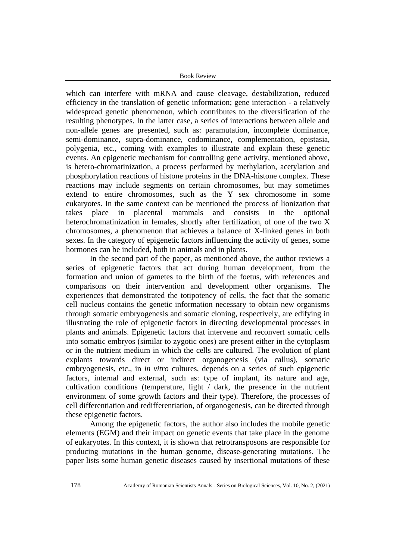Book Review

which can interfere with mRNA and cause cleavage, destabilization, reduced efficiency in the translation of genetic information; gene interaction - a relatively widespread genetic phenomenon, which contributes to the diversification of the resulting phenotypes. In the latter case, a series of interactions between allele and non-allele genes are presented, such as: paramutation, incomplete dominance, semi-dominance, supra-dominance, codominance, complementation, epistasia, polygenia, etc., coming with examples to illustrate and explain these genetic events. An epigenetic mechanism for controlling gene activity, mentioned above, is hetero-chromatinization, a process performed by methylation, acetylation and phosphorylation reactions of histone proteins in the DNA-histone complex. These reactions may include segments on certain chromosomes, but may sometimes extend to entire chromosomes, such as the Y sex chromosome in some eukaryotes. In the same context can be mentioned the process of lionization that takes place in placental mammals and consists in the optional heterochromatinization in females, shortly after fertilization, of one of the two X chromosomes, a phenomenon that achieves a balance of X-linked genes in both sexes. In the category of epigenetic factors influencing the activity of genes, some hormones can be included, both in animals and in plants.

In the second part of the paper, as mentioned above, the author reviews a series of epigenetic factors that act during human development, from the formation and union of gametes to the birth of the foetus, with references and comparisons on their intervention and development other organisms. The experiences that demonstrated the totipotency of cells, the fact that the somatic cell nucleus contains the genetic information necessary to obtain new organisms through somatic embryogenesis and somatic cloning, respectively, are edifying in illustrating the role of epigenetic factors in directing developmental processes in plants and animals. Epigenetic factors that intervene and reconvert somatic cells into somatic embryos (similar to zygotic ones) are present either in the cytoplasm or in the nutrient medium in which the cells are cultured. The evolution of plant explants towards direct or indirect organogenesis (via callus), somatic embryogenesis, etc., in *in vitro* cultures, depends on a series of such epigenetic factors, internal and external, such as: type of implant, its nature and age, cultivation conditions (temperature, light / dark, the presence in the nutrient environment of some growth factors and their type). Therefore, the processes of cell differentiation and redifferentiation, of organogenesis, can be directed through these epigenetic factors.

Among the epigenetic factors, the author also includes the mobile genetic elements (EGM) and their impact on genetic events that take place in the genome of eukaryotes. In this context, it is shown that retrotransposons are responsible for producing mutations in the human genome, disease-generating mutations. The paper lists some human genetic diseases caused by insertional mutations of these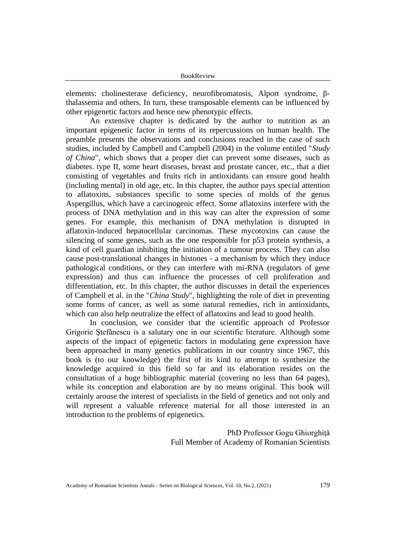elements: cholinesterase deficiency, neurofibromatosis, Alport syndrome, βthalassemia and others. In turn, these transposable elements can be influenced by other epigenetic factors and hence new phenotypic effects.

An extensive chapter is dedicated by the author to nutrition as an important epigenetic factor in terms of its repercussions on human health. The preamble presents the observations and conclusions reached in the case of such studies, included by Campbell and Campbell (2004) in the volume entitled "*Study of China*", which shows that a proper diet can prevent some diseases, such as diabetes. type II, some heart diseases, breast and prostate cancer, etc., that a diet consisting of vegetables and fruits rich in antioxidants can ensure good health (including mental) in old age, etc. In this chapter, the author pays special attention to aflatoxins, substances specific to some species of molds of the genus Aspergillus, which have a carcinogenic effect. Some aflatoxins interfere with the process of DNA methylation and in this way can alter the expression of some genes. For example, this mechanism of DNA methylation is disrupted in aflatoxin-induced hepatocellular carcinomas. These mycotoxins can cause the silencing of some genes, such as the one responsible for p53 protein synthesis, a kind of cell guardian inhibiting the initiation of a tumour process. They can also cause post-translational changes in histones - a mechanism by which they induce pathological conditions, or they can interfere with mi-RNA (regulators of gene expression) and thus can influence the processes of cell proliferation and differentiation, etc. In this chapter, the author discusses in detail the experiences of Campbell et al. in the "*China Study*", highlighting the role of diet in preventing some forms of cancer, as well as some natural remedies, rich in antioxidants, which can also help neutralize the effect of aflatoxins and lead to good health.

In conclusion, we consider that the scientific approach of Professor Grigorie Ştefănescu is a salutary one in our scientific literature. Although some aspects of the impact of epigenetic factors in modulating gene expression have been approached in many genetics publications in our country since 1967, this book is (to our knowledge) the first of its kind to attempt to synthesize the knowledge acquired in this field so far and its elaboration resides on the consultation of a huge bibliographic material (covering no less than 64 pages), while its conception and elaboration are by no means original. This book will certainly arouse the interest of specialists in the field of genetics and not only and will represent a valuable reference material for all those interested in an introduction to the problems of epigenetics.

> PhD Professor Gogu Ghiorghiţă Full Member of Academy of Romanian Scientists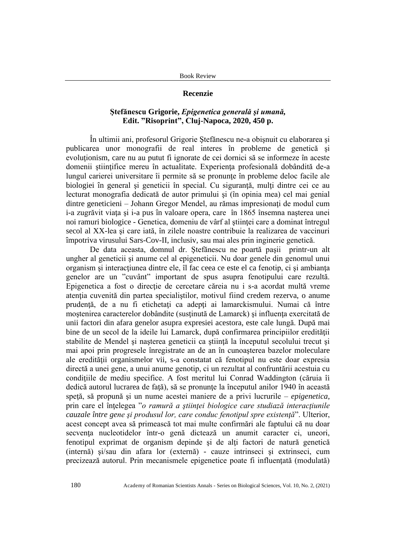## **Recenzie**

# **Ştefănescu Grigorie,** *Epigenetica generală şi umană,* **Edit. "Risoprint", Cluj-Napoca, 2020, 450 p.**

În ultimii ani, profesorul Grigorie Ştefănescu ne-a obişnuit cu elaborarea şi publicarea unor monografii de real interes în probleme de genetică şi evoluţionism, care nu au putut fi ignorate de cei dornici să se informeze în aceste domenii ştiinţifice mereu în actualitate. Experienţa profesională dobândită de-a lungul carierei universitare îi permite să se pronunțe în probleme deloc facile ale biologiei în general şi geneticii în special. Cu siguranţă, mulţi dintre cei ce au lecturat monografia dedicată de autor primului şi (în opinia mea) cel mai genial dintre geneticieni – Johann Gregor Mendel, au rămas impresionați de modul cum i-a zugrăvit viaţa şi i-a pus în valoare opera, care în 1865 însemna naşterea unei noi ramuri biologice - Genetica, domeniu de vârf al ştiinţei care a dominat întregul secol al XX-lea şi care iată, în zilele noastre contribuie la realizarea de vaccinuri împotriva virusului Sars-Cov-II, inclusiv, sau mai ales prin inginerie genetică.

De data aceasta, domnul dr. Ştefănescu ne poartă paşii printr-un alt ungher al geneticii şi anume cel al epigeneticii. Nu doar genele din genomul unui organism şi interacţiunea dintre ele, îl fac ceea ce este el ca fenotip, ci şi ambianţa genelor are un "cuvânt" important de spus asupra fenotipului care rezultă. Epigenetica a fost o direcţie de cercetare căreia nu i s-a acordat multă vreme atenția cuvenită din partea specialiștilor, motivul fiind credem rezerva, o anume prudenţă, de a nu fi etichetaţi ca adepţi ai lamarckismului. Numai că între moştenirea caracterelor dobândite (susţinută de Lamarck) şi influenţa exercitată de unii factori din afara genelor asupra expresiei acestora, este cale lungă. După mai bine de un secol de la ideile lui Lamarck, după confirmarea principiilor eredității stabilite de Mendel şi naşterea geneticii ca ştiinţă la începutul secolului trecut şi mai apoi prin progresele înregistrate an de an în cunoaşterea bazelor moleculare ale eredităţii organismelor vii, s-a constatat că fenotipul nu este doar expresia directă a unei gene, a unui anume genotip, ci un rezultat al confruntării acestuia cu condiţiile de mediu specifice. A fost meritul lui Conrad Waddington (căruia îi dedică autorul lucrarea de față), să se pronunțe la începutul anilor 1940 în această speţă, să propună şi un nume acestei maniere de a privi lucrurile – *epigenetica*, prin care el înţelegea "*o ramură a ştiinţei biologice care studiază interacţiunile cauzale între gene şi produsul lor, care conduc fenotipul spre existenţă*". Ulterior, acest concept avea să primească tot mai multe confirmări ale faptului că nu doar secvenţa nucleotidelor într-o genă dictează un anumit caracter ci, uneori, fenotipul exprimat de organism depinde și de alți factori de natură genetică (internă) şi/sau din afara lor (externă) - cauze intrinseci şi extrinseci, cum precizează autorul. Prin mecanismele epigenetice poate fi influenţată (modulată)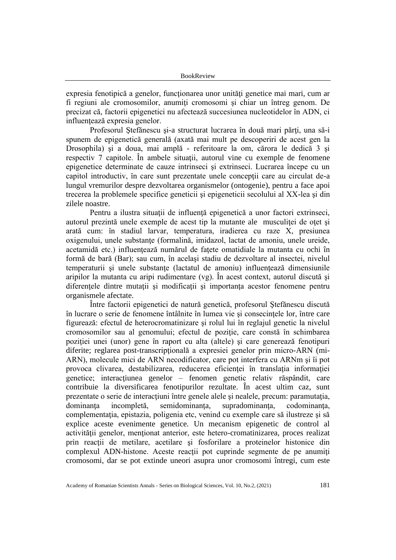expresia fenotipică a genelor, funcţionarea unor unităţi genetice mai mari, cum ar fi regiuni ale cromosomilor, anumiti cromosomi si chiar un întreg genom. De precizat că, factorii epigenetici nu afectează succesiunea nucleotidelor în ADN, ci influenţează expresia genelor.

Profesorul Ştefănescu şi-a structurat lucrarea în două mari părţi, una să-i spunem de epigenetică generală (axată mai mult pe descoperiri de acest gen la Drosophila) şi a doua, mai amplă - referitoare la om, cărora le dedică 3 şi respectiv 7 capitole. În ambele situații, autorul vine cu exemple de fenomene epigenetice determinate de cauze intrinseci şi extrinseci. Lucrarea începe cu un capitol introductiv, în care sunt prezentate unele concepţii care au circulat de-a lungul vremurilor despre dezvoltarea organismelor (ontogenie), pentru a face apoi trecerea la problemele specifice geneticii şi epigeneticii secolului al XX-lea şi din zilele noastre.

Pentru a ilustra situații de influență epigenetică a unor factori extrinseci, autorul prezintă unele exemple de acest tip la mutante ale musculiței de oțet și arată cum: în stadiul larvar, temperatura, iradierea cu raze X, presiunea oxigenului, unele substante (formalină, imidazol, lactat de amoniu, unele ureide, acetamidă etc.) influențează numărul de fațete omatidiale la mutanta cu ochi în formă de bară (Bar); sau cum, în acelaşi stadiu de dezvoltare al insectei, nivelul temperaturii și unele substante (lactatul de amoniu) influențează dimensiunile aripilor la mutanta cu aripi rudimentare (vg). În acest context, autorul discută şi diferenţele dintre mutaţii şi modificaţii şi importanţa acestor fenomene pentru organismele afectate.

Între factorii epigenetici de natură genetică, profesorul Ştefănescu discută în lucrare o serie de fenomene întâlnite în lumea vie şi consecinţele lor, între care figurează: efectul de heterocromatinizare şi rolul lui în reglajul genetic la nivelul cromosomilor sau al genomului; efectul de poziție, care constă în schimbarea poziţiei unei (unor) gene în raport cu alta (altele) şi care generează fenotipuri diferite; reglarea post-transcripţională a expresiei genelor prin micro-ARN (mi-ARN), molecule mici de ARN necodificator, care pot interfera cu ARNm şi îi pot provoca clivarea, destabilizarea, reducerea eficienţei în translaţia informaţiei genetice; interacţiunea genelor – fenomen genetic relativ răspândit, care contribuie la diversificarea fenotipurilor rezultate. În acest ultim caz, sunt prezentate o serie de interacţiuni între genele alele şi nealele, precum: paramutaţia, dominanta incompletă, semidominanta, supradominanta, codominanta, complementaţia, epistazia, poligenia etc, venind cu exemple care să ilustreze şi să explice aceste evenimente genetice. Un mecanism epigenetic de control al activităţii genelor, menţionat anterior, este hetero-cromatinizarea, proces realizat prin reacţii de metilare, acetilare şi fosforilare a proteinelor histonice din complexul ADN-histone. Aceste reacții pot cuprinde segmente de pe anumiți cromosomi, dar se pot extinde uneori asupra unor cromosomi întregi, cum este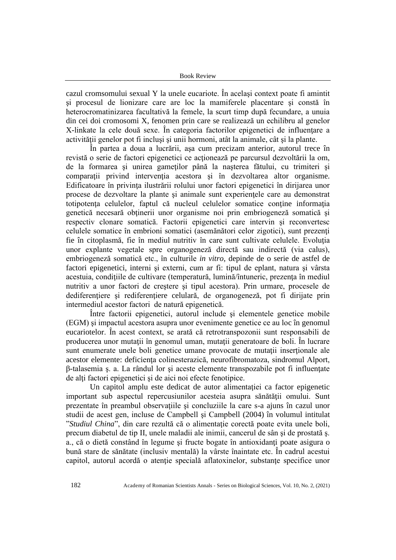#### Book Review

cazul cromsomului sexual Y la unele eucariote. În acelaşi context poate fi amintit şi procesul de lionizare care are loc la mamiferele placentare şi constă în heterocromatinizarea facultativă la femele, la scurt timp după fecundare, a unuia din cei doi cromosomi X, fenomen prin care se realizează un echilibru al genelor X-linkate la cele două sexe. În categoria factorilor epigenetici de influenţare a activităţii genelor pot fi incluşi şi unii hormoni, atât la animale, cât şi la plante.

În partea a doua a lucrării, aşa cum precizam anterior, autorul trece în revistă o serie de factori epigenetici ce acţionează pe parcursul dezvoltării la om, de la formarea şi unirea gameţilor până la naşterea fătului, cu trimiteri şi comparații privind intervenția acestora și în dezvoltarea altor organisme. Edificatoare în privinţa ilustrării rolului unor factori epigenetici în dirijarea unor procese de dezvoltare la plante şi animale sunt experienţele care au demonstrat totipotența celulelor, faptul că nucleul celulelor somatice conține informația genetică necesară obţinerii unor organisme noi prin embriogeneză somatică şi respectiv clonare somatică. Factorii epigenetici care intervin şi reconvertesc celulele somatice în embrioni somatici (asemănători celor zigotici), sunt prezenţi fie în citoplasmă, fie în mediul nutritiv în care sunt cultivate celulele. Evoluția unor explante vegetale spre organogeneză directă sau indirectă (via calus), embriogeneză somatică etc., în culturile *in vitro*, depinde de o serie de astfel de factori epigenetici, interni şi externi, cum ar fi: tipul de eplant, natura şi vârsta acestuia, condiţiile de cultivare (temperatură, lumină/întuneric, prezenţa în mediul nutritiv a unor factori de creştere şi tipul acestora). Prin urmare, procesele de dediferențiere și rediferențiere celulară, de organogeneză, pot fi dirijate prin intermediul acestor factori de natură epigenetică.

Între factorii epigenetici, autorul include şi elementele genetice mobile (EGM) şi impactul acestora asupra unor evenimente genetice ce au loc în genomul eucariotelor. În acest context, se arată că retrotranspozonii sunt responsabili de producerea unor mutaţii în genomul uman, mutaţii generatoare de boli. În lucrare sunt enumerate unele boli genetice umane provocate de mutații inserționale ale acestor elemente: deficienţa colinesterazică, neurofibromatoza, sindromul Alport, β-talasemia ş. a. La rândul lor şi aceste elemente transpozabile pot fi influenţate de alți factori epigenetici și de aici noi efecte fenotipice.

Un capitol amplu este dedicat de autor alimentaţiei ca factor epigenetic important sub aspectul repercusiunilor acesteia asupra sănătăţii omului. Sunt prezentate în preambul observaţiile şi concluziile la care s-a ajuns în cazul unor studii de acest gen, incluse de Campbell şi Campbell (2004) în volumul intitulat "*Studiul China*", din care rezultă că o alimentaţie corectă poate evita unele boli, precum diabetul de tip II, unele maladii ale inimii, cancerul de sân şi de prostată ş. a., că o dietă constând în legume şi fructe bogate în antioxidanţi poate asigura o bună stare de sănătate (inclusiv mentală) la vârste înaintate etc. În cadrul acestui capitol, autorul acordă o atenție specială aflatoxinelor, substanțe specifice unor